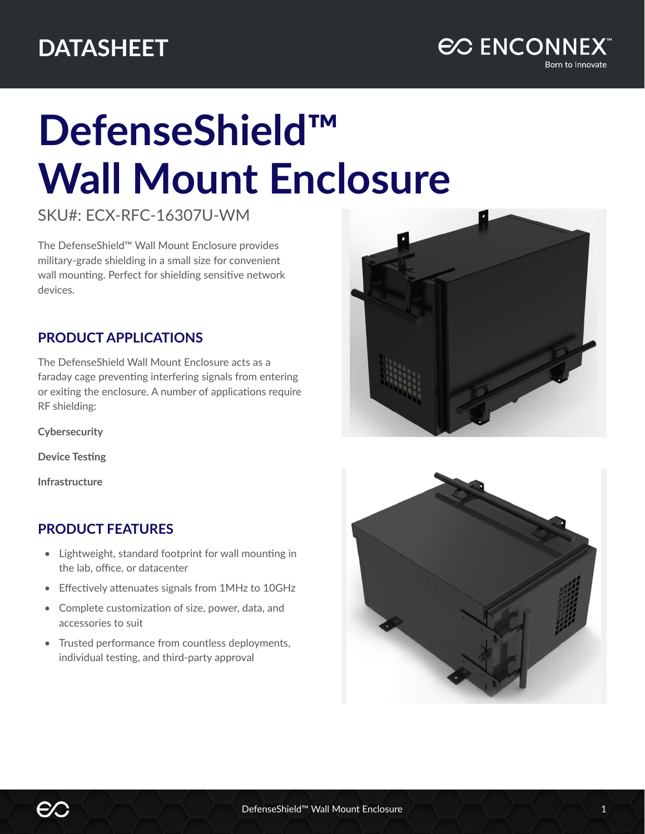

## **DefenseShield™ Wall Mount Enclosure**

SKU#: ECX-RFC-16307U-WM

The DefenseShield™ Wall Mount Enclosure provides military-grade shielding in a small size for convenient wall mounting. Perfect for shielding sensitive network devices.

## **PRODUCT APPLICATIONS**

The DefenseShield Wall Mount Enclosure acts as a faraday cage preventing interfering signals from entering or exiting the enclosure. A number of applications require RF shielding:

**Cybersecurity**

**Device Testing**

**Infrastructure**

## **PRODUCT FEATURES**

- Lightweight, standard footprint for wall mounting in the lab, office, or datacenter
- Effectively attenuates signals from 1MHz to 10GHz
- Complete customization of size, power, data, and accessories to suit
- Trusted performance from countless deployments, individual testing, and third-party approval